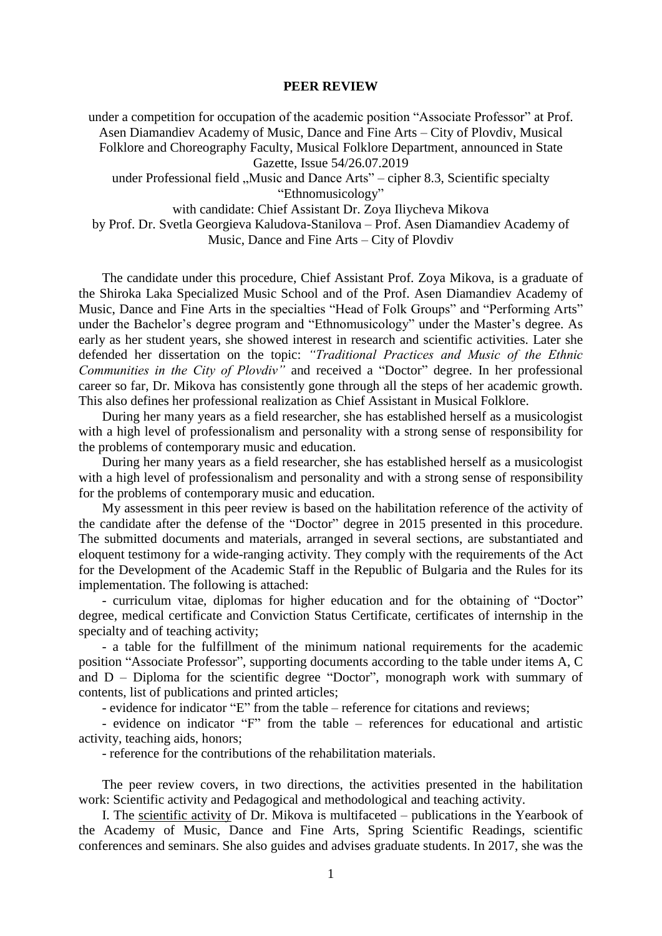## **PEER REVIEW**

under a competition for occupation of the academic position "Associate Professor" at Prof. Asen Diamandiev Academy of Music, Dance and Fine Arts – City of Plovdiv, Musical Folklore and Choreography Faculty, Musical Folklore Department, announced in State Gazette, Issue 54/26.07.2019 under Professional field "Music and Dance Arts" – cipher 8.3, Scientific specialty "Ethnomusicology" with candidate: Chief Assistant Dr. Zoya Iliycheva Mikova by Prof. Dr. Svetla Georgieva Kaludova-Stanilova – Prof. Asen Diamandiev Academy of

Music, Dance and Fine Arts – City of Plovdiv

The candidate under this procedure, Chief Assistant Prof. Zoya Mikova, is a graduate of the Shiroka Laka Specialized Music School and of the Prof. Asen Diamandiev Academy of Music, Dance and Fine Arts in the specialties "Head of Folk Groups" and "Performing Arts" under the Bachelor's degree program and "Ethnomusicology" under the Master's degree. As early as her student years, she showed interest in research and scientific activities. Later she defended her dissertation on the topic: *"Traditional Practices and Music of the Ethnic Communities in the City of Plovdiv"* and received a "Doctor" degree. In her professional career so far, Dr. Mikova has consistently gone through all the steps of her academic growth. This also defines her professional realization as Chief Assistant in Musical Folklore.

During her many years as a field researcher, she has established herself as a musicologist with a high level of professionalism and personality with a strong sense of responsibility for the problems of contemporary music and education.

During her many years as a field researcher, she has established herself as a musicologist with a high level of professionalism and personality and with a strong sense of responsibility for the problems of contemporary music and education.

My assessment in this peer review is based on the habilitation reference of the activity of the candidate after the defense of the "Doctor" degree in 2015 presented in this procedure. The submitted documents and materials, arranged in several sections, are substantiated and eloquent testimony for a wide-ranging activity. They comply with the requirements of the Act for the Development of the Academic Staff in the Republic of Bulgaria and the Rules for its implementation. The following is attached:

- curriculum vitae, diplomas for higher education and for the obtaining of "Doctor" degree, medical certificate and Conviction Status Certificate, certificates of internship in the specialty and of teaching activity;

- a table for the fulfillment of the minimum national requirements for the academic position "Associate Professor", supporting documents according to the table under items A, C and  $D$  – Diploma for the scientific degree "Doctor", monograph work with summary of contents, list of publications and printed articles;

- evidence for indicator "E" from the table – reference for citations and reviews;

- evidence on indicator "F" from the table – references for educational and artistic activity, teaching aids, honors;

- reference for the contributions of the rehabilitation materials.

The peer review covers, in two directions, the activities presented in the habilitation work: Scientific activity and Pedagogical and methodological and teaching activity.

I. The scientific activity of Dr. Mikova is multifaceted – publications in the Yearbook of the Academy of Music, Dance and Fine Arts, Spring Scientific Readings, scientific conferences and seminars. She also guides and advises graduate students. In 2017, she was the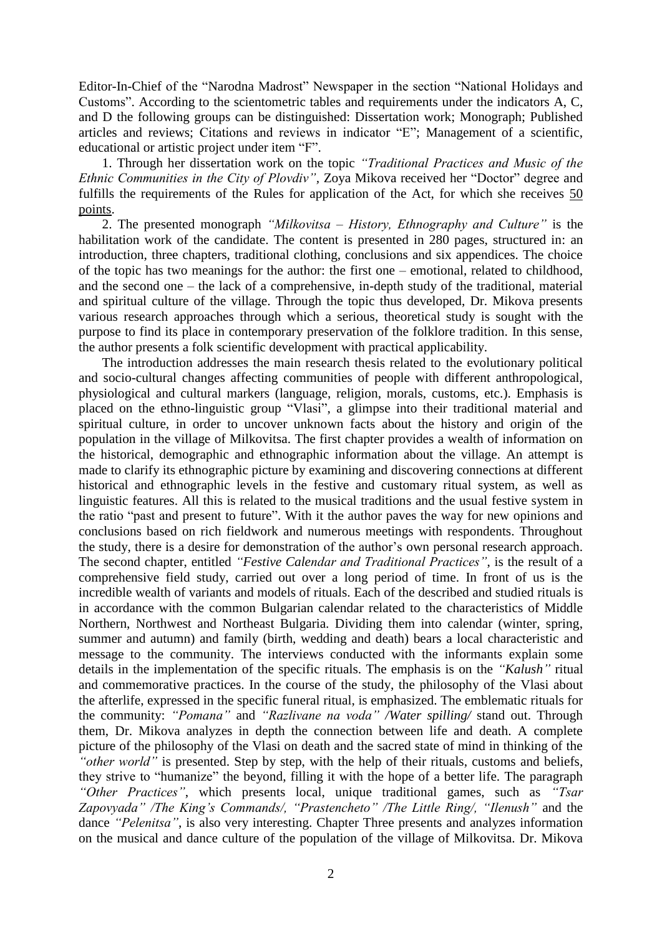Editor-In-Chief of the "Narodna Madrost" Newspaper in the section "National Holidays and Customs". According to the scientometric tables and requirements under the indicators A, C, and D the following groups can be distinguished: Dissertation work; Monograph; Published articles and reviews; Citations and reviews in indicator "E"; Management of a scientific, educational or artistic project under item "F".

1. Through her dissertation work on the topic *"Traditional Practices and Music of the Ethnic Communities in the City of Plovdiv",* Zoya Mikova received her "Doctor" degree and fulfills the requirements of the Rules for application of the Act, for which she receives 50 points.

2. The presented monograph *"Milkovitsa – History, Ethnography and Culture"* is the habilitation work of the candidate. The content is presented in 280 pages, structured in: an introduction, three chapters, traditional clothing, conclusions and six appendices. The choice of the topic has two meanings for the author: the first one – emotional, related to childhood, and the second one – the lack of a comprehensive, in-depth study of the traditional, material and spiritual culture of the village. Through the topic thus developed, Dr. Mikova presents various research approaches through which a serious, theoretical study is sought with the purpose to find its place in contemporary preservation of the folklore tradition. In this sense, the author presents a folk scientific development with practical applicability.

The introduction addresses the main research thesis related to the evolutionary political and socio-cultural changes affecting communities of people with different anthropological, physiological and cultural markers (language, religion, morals, customs, etc.). Emphasis is placed on the ethno-linguistic group "Vlasi", a glimpse into their traditional material and spiritual culture, in order to uncover unknown facts about the history and origin of the population in the village of Milkovitsa. The first chapter provides a wealth of information on the historical, demographic and ethnographic information about the village. An attempt is made to clarify its ethnographic picture by examining and discovering connections at different historical and ethnographic levels in the festive and customary ritual system, as well as linguistic features. All this is related to the musical traditions and the usual festive system in the ratio "past and present to future". With it the author paves the way for new opinions and conclusions based on rich fieldwork and numerous meetings with respondents. Throughout the study, there is a desire for demonstration of the author's own personal research approach. The second chapter, entitled *"Festive Calendar and Traditional Practices"*, is the result of a comprehensive field study, carried out over a long period of time. In front of us is the incredible wealth of variants and models of rituals. Each of the described and studied rituals is in accordance with the common Bulgarian calendar related to the characteristics of Middle Northern, Northwest and Northeast Bulgaria. Dividing them into calendar (winter, spring, summer and autumn) and family (birth, wedding and death) bears a local characteristic and message to the community. The interviews conducted with the informants explain some details in the implementation of the specific rituals. The emphasis is on the *"Kalush"* ritual and commemorative practices. In the course of the study, the philosophy of the Vlasi about the afterlife, expressed in the specific funeral ritual, is emphasized. The emblematic rituals for the community: *"Pomana"* and *"Razlivane na voda" /Water spilling/* stand out. Through them, Dr. Mikova analyzes in depth the connection between life and death. A complete picture of the philosophy of the Vlasi on death and the sacred state of mind in thinking of the *"other world"* is presented. Step by step, with the help of their rituals, customs and beliefs, they strive to "humanize" the beyond, filling it with the hope of a better life. The paragraph *"Other Practices"*, which presents local, unique traditional games, such as *"Tsar Zapovyada" /The King's Commands/, "Prastencheto" /The Little Ring/, "Ilenush"* and the dance *"Pelenitsa"*, is also very interesting. Chapter Three presents and analyzes information on the musical and dance culture of the population of the village of Milkovitsa. Dr. Mikova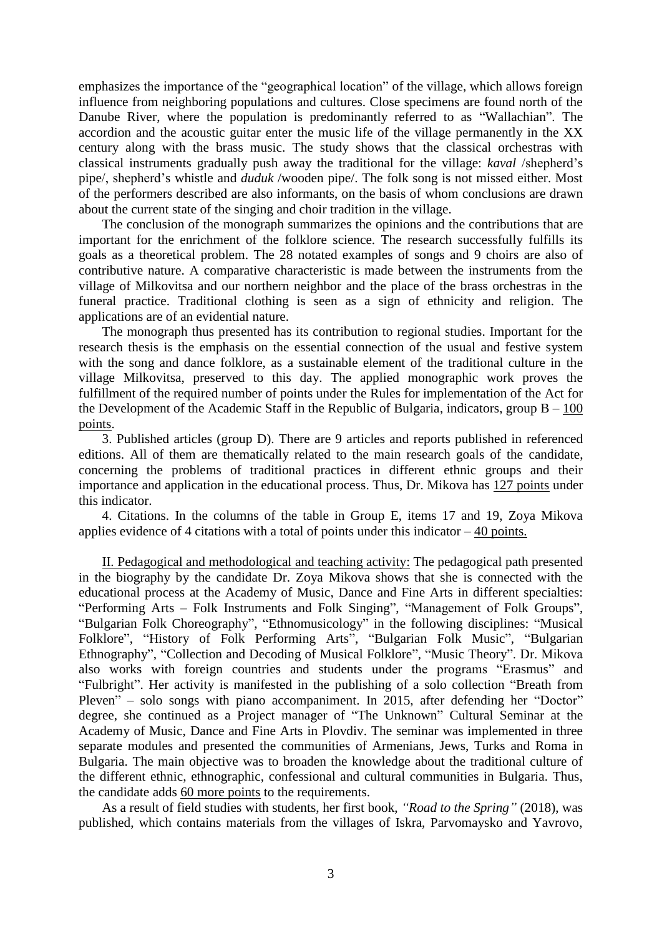emphasizes the importance of the "geographical location" of the village, which allows foreign influence from neighboring populations and cultures. Close specimens are found north of the Danube River, where the population is predominantly referred to as "Wallachian". The accordion and the acoustic guitar enter the music life of the village permanently in the XX century along with the brass music. The study shows that the classical orchestras with classical instruments gradually push away the traditional for the village: *kaval* /shepherd's pipe/, shepherd's whistle and *duduk* /wooden pipe/. The folk song is not missed either. Most of the performers described are also informants, on the basis of whom conclusions are drawn about the current state of the singing and choir tradition in the village.

The conclusion of the monograph summarizes the opinions and the contributions that are important for the enrichment of the folklore science. The research successfully fulfills its goals as a theoretical problem. The 28 notated examples of songs and 9 choirs are also of contributive nature. A comparative characteristic is made between the instruments from the village of Milkovitsa and our northern neighbor and the place of the brass orchestras in the funeral practice. Traditional clothing is seen as a sign of ethnicity and religion. The applications are of an evidential nature.

The monograph thus presented has its contribution to regional studies. Important for the research thesis is the emphasis on the essential connection of the usual and festive system with the song and dance folklore, as a sustainable element of the traditional culture in the village Milkovitsa, preserved to this day. The applied monographic work proves the fulfillment of the required number of points under the Rules for implementation of the Act for the Development of the Academic Staff in the Republic of Bulgaria, indicators, group  $B - 100$ points.

3. Published articles (group D). There are 9 articles and reports published in referenced editions. All of them are thematically related to the main research goals of the candidate, concerning the problems of traditional practices in different ethnic groups and their importance and application in the educational process. Thus, Dr. Mikova has 127 points under this indicator.

4. Citations. In the columns of the table in Group E, items 17 and 19, Zoya Mikova applies evidence of 4 citations with a total of points under this indicator  $-40$  points.

II. Pedagogical and methodological and teaching activity: The pedagogical path presented in the biography by the candidate Dr. Zoya Mikova shows that she is connected with the educational process at the Academy of Music, Dance and Fine Arts in different specialties: "Performing Arts – Folk Instruments and Folk Singing", "Management of Folk Groups", "Bulgarian Folk Choreography", "Ethnomusicology" in the following disciplines: "Musical Folklore", "History of Folk Performing Arts", "Bulgarian Folk Music", "Bulgarian Ethnography", "Collection and Decoding of Musical Folklore", "Music Theory". Dr. Mikova also works with foreign countries and students under the programs "Erasmus" and "Fulbright". Her activity is manifested in the publishing of a solo collection "Breath from Pleven" – solo songs with piano accompaniment. In 2015, after defending her "Doctor" degree, she continued as a Project manager of "The Unknown" Cultural Seminar at the Academy of Music, Dance and Fine Arts in Plovdiv. The seminar was implemented in three separate modules and presented the communities of Armenians, Jews, Turks and Roma in Bulgaria. The main objective was to broaden the knowledge about the traditional culture of the different ethnic, ethnographic, confessional and cultural communities in Bulgaria. Thus, the candidate adds 60 more points to the requirements.

As a result of field studies with students, her first book, *"Road to the Spring"* (2018), was published, which contains materials from the villages of Iskra, Parvomaysko and Yavrovo,